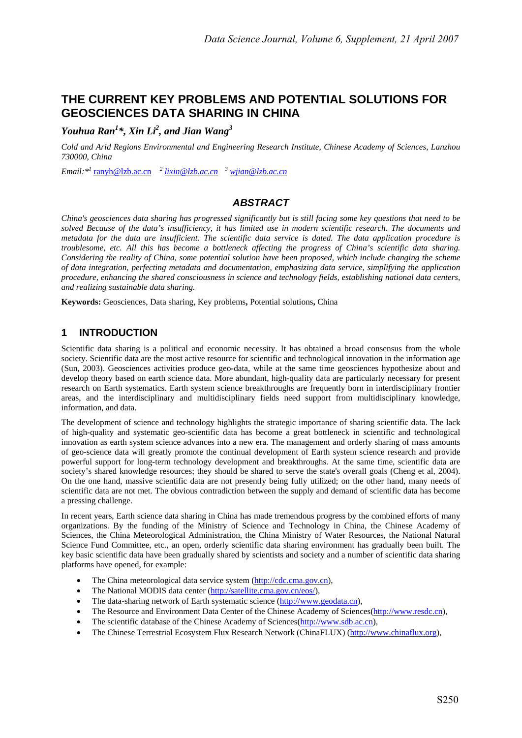# **THE CURRENT KEY PROBLEMS AND POTENTIAL SOLUTIONS FOR GEOSCIENCES DATA SHARING IN CHINA**

*Youhua Ran<sup>1</sup> \*, Xin Li2 , and Jian Wang<sup>3</sup>*

*Cold and Arid Regions Environmental and Engineering Research Institute, Chinese Academy of Sciences, Lanzhou 730000, China* 

*Email:\*1* ranyh@lzb.ac.cn *<sup>2</sup> lixin@lzb.ac.cn<sup>3</sup> wjian@lzb.ac.cn*

## *ABSTRACT*

*China's geosciences data sharing has progressed significantly but is still facing some key questions that need to be solved Because of the data's insufficiency, it has limited use in modern scientific research. The documents and metadata for the data are insufficient. The scientific data service is dated. The data application procedure is troublesome, etc. All this has become a bottleneck affecting the progress of China's scientific data sharing. Considering the reality of China, some potential solution have been proposed, which include changing the scheme of data integration, perfecting metadata and documentation, emphasizing data service, simplifying the application procedure, enhancing the shared consciousness in science and technology fields, establishing national data centers, and realizing sustainable data sharing.* 

**Keywords:** Geosciences, Data sharing, Key problems**,** Potential solutions**,** China

# **1 INTRODUCTION**

Scientific data sharing is a political and economic necessity. It has obtained a broad consensus from the whole society. Scientific data are the most active resource for scientific and technological innovation in the information age (Sun, 2003). Geosciences activities produce geo-data, while at the same time geosciences hypothesize about and develop theory based on earth science data. More abundant, high-quality data are particularly necessary for present research on Earth systematics. Earth system science breakthroughs are frequently born in interdisciplinary frontier areas, and the interdisciplinary and multidisciplinary fields need support from multidisciplinary knowledge, information, and data.

The development of science and technology highlights the strategic importance of sharing scientific data. The lack of high-quality and systematic geo-scientific data has become a great bottleneck in scientific and technological innovation as earth system science advances into a new era. The management and orderly sharing of mass amounts of geo-science data will greatly promote the continual development of Earth system science research and provide powerful support for long-term technology development and breakthroughs. At the same time, scientific data are society's shared knowledge resources; they should be shared to serve the state's overall goals (Cheng et al, 2004). On the one hand, massive scientific data are not presently being fully utilized; on the other hand, many needs of scientific data are not met. The obvious contradiction between the supply and demand of scientific data has become a pressing challenge.

In recent years, Earth science data sharing in China has made tremendous progress by the combined efforts of many organizations. By the funding of the Ministry of Science and Technology in China, the Chinese Academy of Sciences, the China Meteorological Administration, the China Ministry of Water Resources, the National Natural Science Fund Committee, etc., an open, orderly scientific data sharing environment has gradually been built. The key basic scientific data have been gradually shared by scientists and society and a number of scientific data sharing platforms have opened, for example:

- The China meteorological data service system (http://cdc.cma.gov.cn),
- The National MODIS data center (http://satellite.cma.gov.cn/eos/),
- The data-sharing network of Earth systematic science (http://www.geodata.cn),
- The Resource and Environment Data Center of the Chinese Academy of Sciences(http://www.resdc.cn),
- The scientific database of the Chinese Academy of Sciences(http://www.sdb.ac.cn),
- The Chinese Terrestrial Ecosystem Flux Research Network (ChinaFLUX) (http://www.chinaflux.org),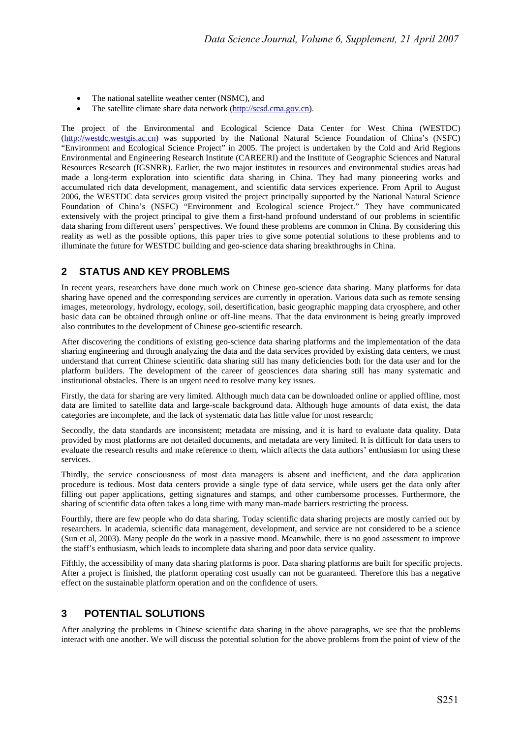- The national satellite weather center (NSMC), and
- The satellite climate share data network (http://scsd.cma.gov.cn).

The project of the Environmental and Ecological Science Data Center for West China (WESTDC) (http://westdc.westgis.ac.cn) was supported by the National Natural Science Foundation of China's (NSFC) "Environment and Ecological Science Project" in 2005. The project is undertaken by the Cold and Arid Regions Environmental and Engineering Research Institute (CAREERI) and the Institute of Geographic Sciences and Natural Resources Research (IGSNRR). Earlier, the two major institutes in resources and environmental studies areas had made a long-term exploration into scientific data sharing in China. They had many pioneering works and accumulated rich data development, management, and scientific data services experience. From April to August 2006, the WESTDC data services group visited the project principally supported by the National Natural Science Foundation of China's (NSFC) "Environment and Ecological science Project." They have communicated extensively with the project principal to give them a first-hand profound understand of our problems in scientific data sharing from different users' perspectives. We found these problems are common in China. By considering this reality as well as the possible options, this paper tries to give some potential solutions to these problems and to illuminate the future for WESTDC building and geo-science data sharing breakthroughs in China.

### **2 STATUS AND KEY PROBLEMS**

In recent years, researchers have done much work on Chinese geo-science data sharing. Many platforms for data sharing have opened and the corresponding services are currently in operation. Various data such as remote sensing images, meteorology, hydrology, ecology, soil, desertification, basic geographic mapping data cryosphere, and other basic data can be obtained through online or off-line means. That the data environment is being greatly improved also contributes to the development of Chinese geo-scientific research.

After discovering the conditions of existing geo-science data sharing platforms and the implementation of the data sharing engineering and through analyzing the data and the data services provided by existing data centers, we must understand that current Chinese scientific data sharing still has many deficiencies both for the data user and for the platform builders. The development of the career of geosciences data sharing still has many systematic and institutional obstacles. There is an urgent need to resolve many key issues.

Firstly, the data for sharing are very limited. Although much data can be downloaded online or applied offline, most data are limited to satellite data and large-scale background data. Although huge amounts of data exist, the data categories are incomplete, and the lack of systematic data has little value for most research;

Secondly, the data standards are inconsistent; metadata are missing, and it is hard to evaluate data quality. Data provided by most platforms are not detailed documents, and metadata are very limited. It is difficult for data users to evaluate the research results and make reference to them, which affects the data authors' enthusiasm for using these services.

Thirdly, the service consciousness of most data managers is absent and inefficient, and the data application procedure is tedious. Most data centers provide a single type of data service, while users get the data only after filling out paper applications, getting signatures and stamps, and other cumbersome processes. Furthermore, the sharing of scientific data often takes a long time with many man-made barriers restricting the process.

Fourthly, there are few people who do data sharing. Today scientific data sharing projects are mostly carried out by researchers. In academia, scientific data management, development, and service are not considered to be a science (Sun et al, 2003). Many people do the work in a passive mood. Meanwhile, there is no good assessment to improve the staff's enthusiasm, which leads to incomplete data sharing and poor data service quality.

Fifthly, the accessibility of many data sharing platforms is poor. Data sharing platforms are built for specific projects. After a project is finished, the platform operating cost usually can not be guaranteed. Therefore this has a negative effect on the sustainable platform operation and on the confidence of users.

# **3 POTENTIAL SOLUTIONS**

After analyzing the problems in Chinese scientific data sharing in the above paragraphs, we see that the problems interact with one another. We will discuss the potential solution for the above problems from the point of view of the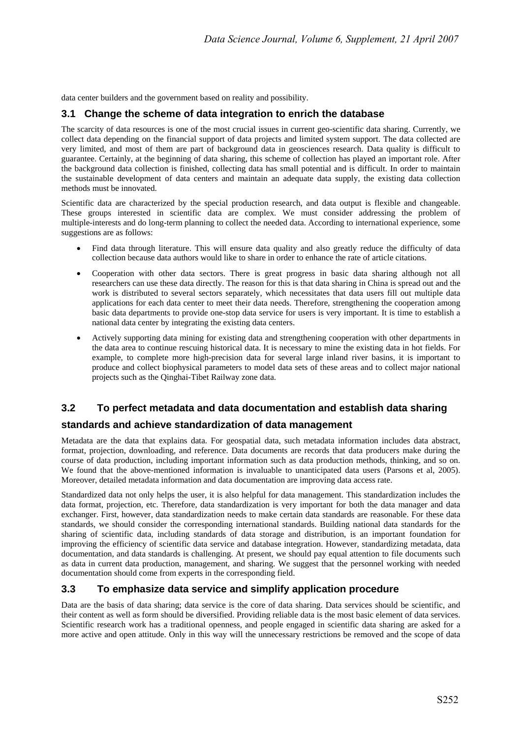data center builders and the government based on reality and possibility.

### **3.1 Change the scheme of data integration to enrich the database**

The scarcity of data resources is one of the most crucial issues in current geo-scientific data sharing. Currently, we collect data depending on the financial support of data projects and limited system support. The data collected are very limited, and most of them are part of background data in geosciences research. Data quality is difficult to guarantee. Certainly, at the beginning of data sharing, this scheme of collection has played an important role. After the background data collection is finished, collecting data has small potential and is difficult. In order to maintain the sustainable development of data centers and maintain an adequate data supply, the existing data collection methods must be innovated.

Scientific data are characterized by the special production research, and data output is flexible and changeable. These groups interested in scientific data are complex. We must consider addressing the problem of multiple-interests and do long-term planning to collect the needed data. According to international experience, some suggestions are as follows:

- Find data through literature. This will ensure data quality and also greatly reduce the difficulty of data collection because data authors would like to share in order to enhance the rate of article citations.
- Cooperation with other data sectors. There is great progress in basic data sharing although not all researchers can use these data directly. The reason for this is that data sharing in China is spread out and the work is distributed to several sectors separately, which necessitates that data users fill out multiple data applications for each data center to meet their data needs. Therefore, strengthening the cooperation among basic data departments to provide one-stop data service for users is very important. It is time to establish a national data center by integrating the existing data centers.
- Actively supporting data mining for existing data and strengthening cooperation with other departments in the data area to continue rescuing historical data. It is necessary to mine the existing data in hot fields. For example, to complete more high-precision data for several large inland river basins, it is important to produce and collect biophysical parameters to model data sets of these areas and to collect major national projects such as the Qinghai-Tibet Railway zone data.

### **3.2 To perfect metadata and data documentation and establish data sharing**

#### **standards and achieve standardization of data management**

Metadata are the data that explains data. For geospatial data, such metadata information includes data abstract, format, projection, downloading, and reference. Data documents are records that data producers make during the course of data production, including important information such as data production methods, thinking, and so on. We found that the above-mentioned information is invaluable to unanticipated data users (Parsons et al, 2005). Moreover, detailed metadata information and data documentation are improving data access rate.

Standardized data not only helps the user, it is also helpful for data management. This standardization includes the data format, projection, etc. Therefore, data standardization is very important for both the data manager and data exchanger. First, however, data standardization needs to make certain data standards are reasonable. For these data standards, we should consider the corresponding international standards. Building national data standards for the sharing of scientific data, including standards of data storage and distribution, is an important foundation for improving the efficiency of scientific data service and database integration. However, standardizing metadata, data documentation, and data standards is challenging. At present, we should pay equal attention to file documents such as data in current data production, management, and sharing. We suggest that the personnel working with needed documentation should come from experts in the corresponding field.

#### **3.3 To emphasize data service and simplify application procedure**

Data are the basis of data sharing; data service is the core of data sharing. Data services should be scientific, and their content as well as form should be diversified. Providing reliable data is the most basic element of data services. Scientific research work has a traditional openness, and people engaged in scientific data sharing are asked for a more active and open attitude. Only in this way will the unnecessary restrictions be removed and the scope of data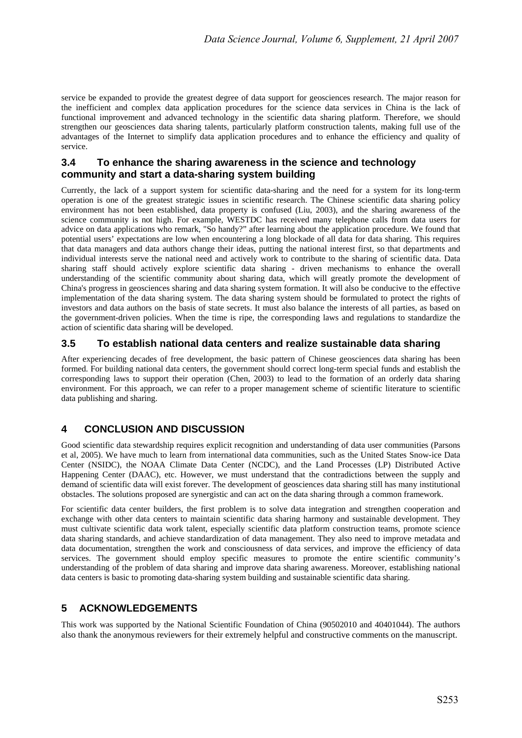service be expanded to provide the greatest degree of data support for geosciences research. The major reason for the inefficient and complex data application procedures for the science data services in China is the lack of functional improvement and advanced technology in the scientific data sharing platform. Therefore, we should strengthen our geosciences data sharing talents, particularly platform construction talents, making full use of the advantages of the Internet to simplify data application procedures and to enhance the efficiency and quality of service.

### **3.4 To enhance the sharing awareness in the science and technology community and start a data-sharing system building**

Currently, the lack of a support system for scientific data-sharing and the need for a system for its long-term operation is one of the greatest strategic issues in scientific research. The Chinese scientific data sharing policy environment has not been established, data property is confused (Liu, 2003), and the sharing awareness of the science community is not high. For example, WESTDC has received many telephone calls from data users for advice on data applications who remark, "So handy?" after learning about the application procedure. We found that potential users' expectations are low when encountering a long blockade of all data for data sharing. This requires that data managers and data authors change their ideas, putting the national interest first, so that departments and individual interests serve the national need and actively work to contribute to the sharing of scientific data. Data sharing staff should actively explore scientific data sharing - driven mechanisms to enhance the overall understanding of the scientific community about sharing data, which will greatly promote the development of China's progress in geosciences sharing and data sharing system formation. It will also be conducive to the effective implementation of the data sharing system. The data sharing system should be formulated to protect the rights of investors and data authors on the basis of state secrets. It must also balance the interests of all parties, as based on the government-driven policies. When the time is ripe, the corresponding laws and regulations to standardize the action of scientific data sharing will be developed.

### **3.5 To establish national data centers and realize sustainable data sharing**

After experiencing decades of free development, the basic pattern of Chinese geosciences data sharing has been formed. For building national data centers, the government should correct long-term special funds and establish the corresponding laws to support their operation (Chen, 2003) to lead to the formation of an orderly data sharing environment. For this approach, we can refer to a proper management scheme of scientific literature to scientific data publishing and sharing.

# **4 CONCLUSION AND DISCUSSION**

Good scientific data stewardship requires explicit recognition and understanding of data user communities (Parsons et al, 2005). We have much to learn from international data communities, such as the United States Snow-ice Data Center (NSIDC), the NOAA Climate Data Center (NCDC), and the Land Processes (LP) Distributed Active Happening Center (DAAC), etc. However, we must understand that the contradictions between the supply and demand of scientific data will exist forever. The development of geosciences data sharing still has many institutional obstacles. The solutions proposed are synergistic and can act on the data sharing through a common framework.

For scientific data center builders, the first problem is to solve data integration and strengthen cooperation and exchange with other data centers to maintain scientific data sharing harmony and sustainable development. They must cultivate scientific data work talent, especially scientific data platform construction teams, promote science data sharing standards, and achieve standardization of data management. They also need to improve metadata and data documentation, strengthen the work and consciousness of data services, and improve the efficiency of data services. The government should employ specific measures to promote the entire scientific community's understanding of the problem of data sharing and improve data sharing awareness. Moreover, establishing national data centers is basic to promoting data-sharing system building and sustainable scientific data sharing.

# **5 ACKNOWLEDGEMENTS**

This work was supported by the National Scientific Foundation of China (90502010 and 40401044). The authors also thank the anonymous reviewers for their extremely helpful and constructive comments on the manuscript.